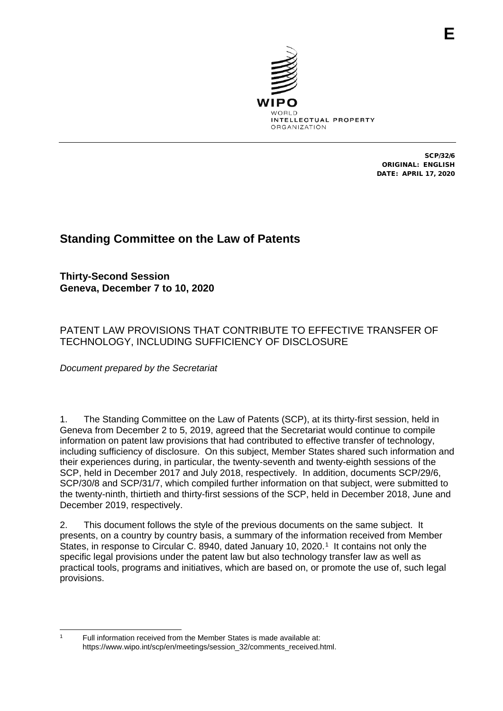

SCP/32/6 ORIGINAL: ENGLISH DATE: APRIL 17, 2020

# **Standing Committee on the Law of Patents**

**Thirty-Second Session Geneva, December 7 to 10, 2020**

PATENT LAW PROVISIONS THAT CONTRIBUTE TO EFFECTIVE TRANSFER OF TECHNOLOGY, INCLUDING SUFFICIENCY OF DISCLOSURE

*Document prepared by the Secretariat*

1. The Standing Committee on the Law of Patents (SCP), at its thirty-first session, held in Geneva from December 2 to 5, 2019, agreed that the Secretariat would continue to compile information on patent law provisions that had contributed to effective transfer of technology, including sufficiency of disclosure. On this subject, Member States shared such information and their experiences during, in particular, the twenty-seventh and twenty-eighth sessions of the SCP, held in December 2017 and July 2018, respectively. In addition, documents SCP/29/6, SCP/30/8 and SCP/31/7, which compiled further information on that subject, were submitted to the twenty-ninth, thirtieth and thirty-first sessions of the SCP, held in December 2018, June and December 2019, respectively.

2. This document follows the style of the previous documents on the same subject. It presents, on a country by country basis, a summary of the information received from Member States, in response to Circular C. 8940, dated January 10, 2020.<sup>1</sup> It contains not only the specific legal provisions under the patent law but also technology transfer law as well as practical tools, programs and initiatives, which are based on, or promote the use of, such legal provisions.

<span id="page-0-0"></span><sup>1</sup> Full information received from the Member States is made available at: https://www.wipo.int/scp/en/meetings/session\_32/comments\_received.html.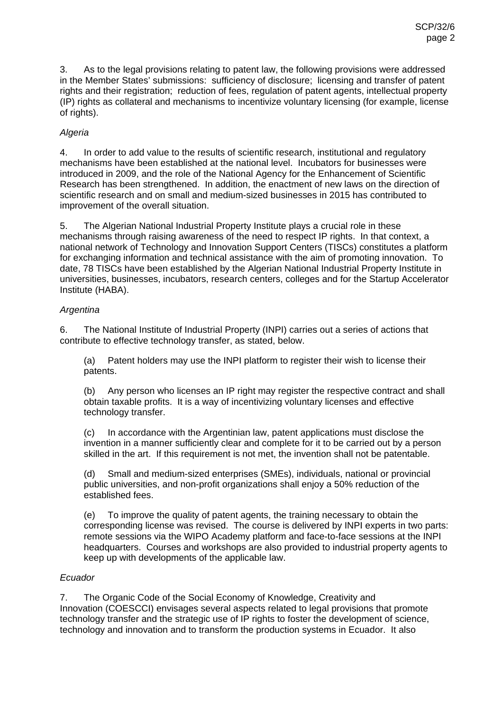3. As to the legal provisions relating to patent law, the following provisions were addressed in the Member States' submissions: sufficiency of disclosure; licensing and transfer of patent rights and their registration; reduction of fees, regulation of patent agents, intellectual property (IP) rights as collateral and mechanisms to incentivize voluntary licensing (for example, license of rights).

## *Algeria*

4. In order to add value to the results of scientific research, institutional and regulatory mechanisms have been established at the national level. Incubators for businesses were introduced in 2009, and the role of the National Agency for the Enhancement of Scientific Research has been strengthened. In addition, the enactment of new laws on the direction of scientific research and on small and medium-sized businesses in 2015 has contributed to improvement of the overall situation.

5. The Algerian National Industrial Property Institute plays a crucial role in these mechanisms through raising awareness of the need to respect IP rights. In that context, a national network of Technology and Innovation Support Centers (TISCs) constitutes a platform for exchanging information and technical assistance with the aim of promoting innovation. To date, 78 TISCs have been established by the Algerian National Industrial Property Institute in universities, businesses, incubators, research centers, colleges and for the Startup Accelerator Institute (HABA).

#### *Argentina*

6. The National Institute of Industrial Property (INPI) carries out a series of actions that contribute to effective technology transfer, as stated, below.

(a) Patent holders may use the INPI platform to register their wish to license their patents.

(b) Any person who licenses an IP right may register the respective contract and shall obtain taxable profits. It is a way of incentivizing voluntary licenses and effective technology transfer.

(c) In accordance with the Argentinian law, patent applications must disclose the invention in a manner sufficiently clear and complete for it to be carried out by a person skilled in the art. If this requirement is not met, the invention shall not be patentable.

(d) Small and medium-sized enterprises (SMEs), individuals, national or provincial public universities, and non-profit organizations shall enjoy a 50% reduction of the established fees.

(e) To improve the quality of patent agents, the training necessary to obtain the corresponding license was revised. The course is delivered by INPI experts in two parts: remote sessions via the WIPO Academy platform and face-to-face sessions at the INPI headquarters. Courses and workshops are also provided to industrial property agents to keep up with developments of the applicable law.

#### *Ecuador*

7. The Organic Code of the Social Economy of Knowledge, Creativity and Innovation (COESCCI) envisages several aspects related to legal provisions that promote technology transfer and the strategic use of IP rights to foster the development of science, technology and innovation and to transform the production systems in Ecuador. It also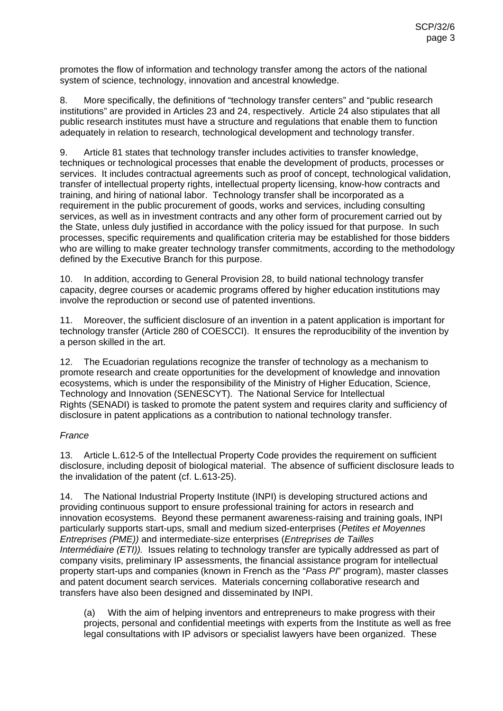promotes the flow of information and technology transfer among the actors of the national system of science, technology, innovation and ancestral knowledge.

8. More specifically, the definitions of "technology transfer centers" and "public research institutions" are provided in Articles 23 and 24, respectively. Article 24 also stipulates that all public research institutes must have a structure and regulations that enable them to function adequately in relation to research, technological development and technology transfer.

9. Article 81 states that technology transfer includes activities to transfer knowledge, techniques or technological processes that enable the development of products, processes or services. It includes contractual agreements such as proof of concept, technological validation, transfer of intellectual property rights, intellectual property licensing, know-how contracts and training, and hiring of national labor. Technology transfer shall be incorporated as a requirement in the public procurement of goods, works and services, including consulting services, as well as in investment contracts and any other form of procurement carried out by the State, unless duly justified in accordance with the policy issued for that purpose. In such processes, specific requirements and qualification criteria may be established for those bidders who are willing to make greater technology transfer commitments, according to the methodology defined by the Executive Branch for this purpose.

10. In addition, according to General Provision 28, to build national technology transfer capacity, degree courses or academic programs offered by higher education institutions may involve the reproduction or second use of patented inventions.

11. Moreover, the sufficient disclosure of an invention in a patent application is important for technology transfer (Article 280 of COESCCI). It ensures the reproducibility of the invention by a person skilled in the art.

12. The Ecuadorian regulations recognize the transfer of technology as a mechanism to promote research and create opportunities for the development of knowledge and innovation ecosystems, which is under the responsibility of the Ministry of Higher Education, Science, Technology and Innovation (SENESCYT). The National Service for Intellectual Rights (SENADI) is tasked to promote the patent system and requires clarity and sufficiency of disclosure in patent applications as a contribution to national technology transfer.

# *France*

13. Article L.612-5 of the Intellectual Property Code provides the requirement on sufficient disclosure, including deposit of biological material. The absence of sufficient disclosure leads to the invalidation of the patent (cf. L.613-25).

14. The National Industrial Property Institute (INPI) is developing structured actions and providing continuous support to ensure professional training for actors in research and innovation ecosystems. Beyond these permanent awareness-raising and training goals, INPI particularly supports start-ups, small and medium sized-enterprises (*Petites et Moyennes Entreprises (PME))* and intermediate-size enterprises (*Entreprises de Tailles Intermédiaire (ETI)).* Issues relating to technology transfer are typically addressed as part of company visits, preliminary IP assessments, the financial assistance program for intellectual property start-ups and companies (known in French as the "*Pass PI*" program), master classes and patent document search services. Materials concerning collaborative research and transfers have also been designed and disseminated by INPI.

(a) With the aim of helping inventors and entrepreneurs to make progress with their projects, personal and confidential meetings with experts from the Institute as well as free legal consultations with IP advisors or specialist lawyers have been organized. These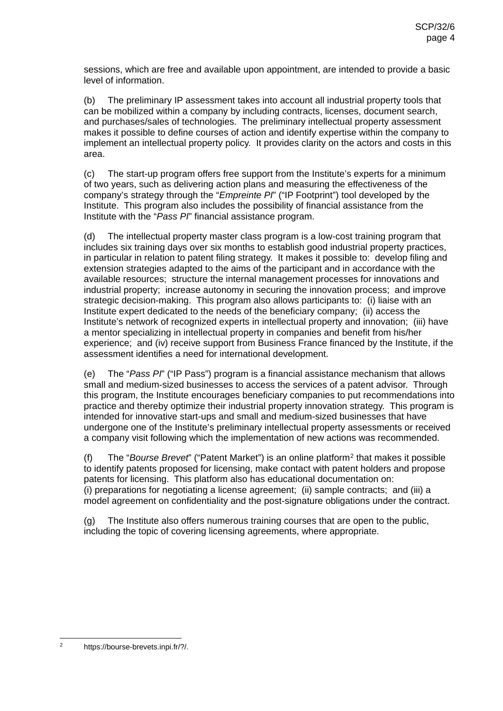sessions, which are free and available upon appointment, are intended to provide a basic level of information.

(b) The preliminary IP assessment takes into account all industrial property tools that can be mobilized within a company by including contracts, licenses, document search, and purchases/sales of technologies. The preliminary intellectual property assessment makes it possible to define courses of action and identify expertise within the company to implement an intellectual property policy. It provides clarity on the actors and costs in this area.

(c) The start-up program offers free support from the Institute's experts for a minimum of two years, such as delivering action plans and measuring the effectiveness of the company's strategy through the "*Empreinte PI*" ("IP Footprint") tool developed by the Institute. This program also includes the possibility of financial assistance from the Institute with the "*Pass PI*" financial assistance program.

(d) The intellectual property master class program is a low-cost training program that includes six training days over six months to establish good industrial property practices, in particular in relation to patent filing strategy. It makes it possible to: develop filing and extension strategies adapted to the aims of the participant and in accordance with the available resources; structure the internal management processes for innovations and industrial property; increase autonomy in securing the innovation process; and improve strategic decision-making. This program also allows participants to: (i) liaise with an Institute expert dedicated to the needs of the beneficiary company; (ii) access the Institute's network of recognized experts in intellectual property and innovation; (iii) have a mentor specializing in intellectual property in companies and benefit from his/her experience; and (iv) receive support from Business France financed by the Institute, if the assessment identifies a need for international development.

(e) The "*Pass PI*" ("IP Pass") program is a financial assistance mechanism that allows small and medium-sized businesses to access the services of a patent advisor. Through this program, the Institute encourages beneficiary companies to put recommendations into practice and thereby optimize their industrial property innovation strategy. This program is intended for innovative start-ups and small and medium-sized businesses that have undergone one of the Institute's preliminary intellectual property assessments or received a company visit following which the implementation of new actions was recommended.

(f) The "*Bourse Brevet*" ("Patent Market") is an online platform[2](#page-3-0) that makes it possible to identify patents proposed for licensing, make contact with patent holders and propose patents for licensing. This platform also has educational documentation on: (i) preparations for negotiating a license agreement; (ii) sample contracts; and (iii) a model agreement on confidentiality and the post-signature obligations under the contract.

(g) The Institute also offers numerous training courses that are open to the public, including the topic of covering licensing agreements, where appropriate.

<span id="page-3-0"></span>https://bourse-brevets.inpi.fr/?/.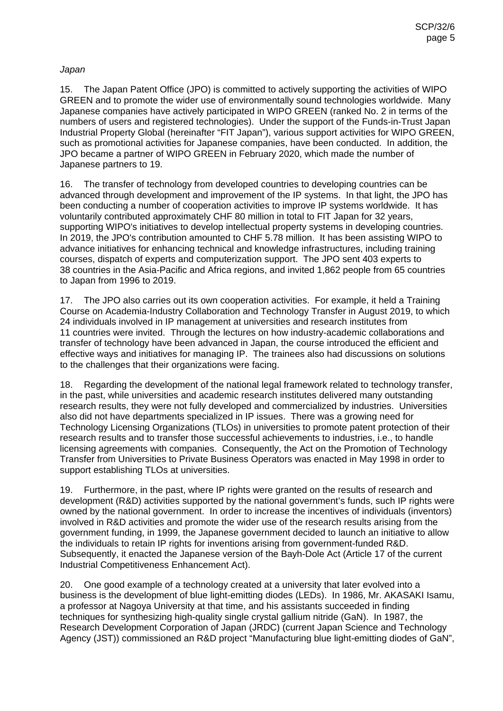#### *Japan*

15. The Japan Patent Office (JPO) is committed to actively supporting the activities of WIPO GREEN and to promote the wider use of environmentally sound technologies worldwide. Many Japanese companies have actively participated in WIPO GREEN (ranked No. 2 in terms of the numbers of users and registered technologies). Under the support of the Funds-in-Trust Japan Industrial Property Global (hereinafter "FIT Japan"), various support activities for WIPO GREEN, such as promotional activities for Japanese companies, have been conducted. In addition, the JPO became a partner of WIPO GREEN in February 2020, which made the number of Japanese partners to 19.

16. The transfer of technology from developed countries to developing countries can be advanced through development and improvement of the IP systems. In that light, the JPO has been conducting a number of cooperation activities to improve IP systems worldwide. It has voluntarily contributed approximately CHF 80 million in total to FIT Japan for 32 years, supporting WIPO's initiatives to develop intellectual property systems in developing countries. In 2019, the JPO's contribution amounted to CHF 5.78 million. It has been assisting WIPO to advance initiatives for enhancing technical and knowledge infrastructures, including training courses, dispatch of experts and computerization support. The JPO sent 403 experts to 38 countries in the Asia-Pacific and Africa regions, and invited 1,862 people from 65 countries to Japan from 1996 to 2019.

17. The JPO also carries out its own cooperation activities. For example, it held a Training Course on Academia-Industry Collaboration and Technology Transfer in August 2019, to which 24 individuals involved in IP management at universities and research institutes from 11 countries were invited. Through the lectures on how industry-academic collaborations and transfer of technology have been advanced in Japan, the course introduced the efficient and effective ways and initiatives for managing IP. The trainees also had discussions on solutions to the challenges that their organizations were facing.

18. Regarding the development of the national legal framework related to technology transfer, in the past, while universities and academic research institutes delivered many outstanding research results, they were not fully developed and commercialized by industries. Universities also did not have departments specialized in IP issues. There was a growing need for Technology Licensing Organizations (TLOs) in universities to promote patent protection of their research results and to transfer those successful achievements to industries, i.e., to handle licensing agreements with companies. Consequently, the Act on the Promotion of Technology Transfer from Universities to Private Business Operators was enacted in May 1998 in order to support establishing TLOs at universities.

19. Furthermore, in the past, where IP rights were granted on the results of research and development (R&D) activities supported by the national government's funds, such IP rights were owned by the national government. In order to increase the incentives of individuals (inventors) involved in R&D activities and promote the wider use of the research results arising from the government funding, in 1999, the Japanese government decided to launch an initiative to allow the individuals to retain IP rights for inventions arising from government-funded R&D. Subsequently, it enacted the Japanese version of the Bayh-Dole Act (Article 17 of the current Industrial Competitiveness Enhancement Act).

20. One good example of a technology created at a university that later evolved into a business is the development of blue light-emitting diodes (LEDs). In 1986, Mr. AKASAKI Isamu, a professor at Nagoya University at that time, and his assistants succeeded in finding techniques for synthesizing high-quality single crystal gallium nitride (GaN). In 1987, the Research Development Corporation of Japan (JRDC) (current Japan Science and Technology Agency (JST)) commissioned an R&D project "Manufacturing blue light-emitting diodes of GaN",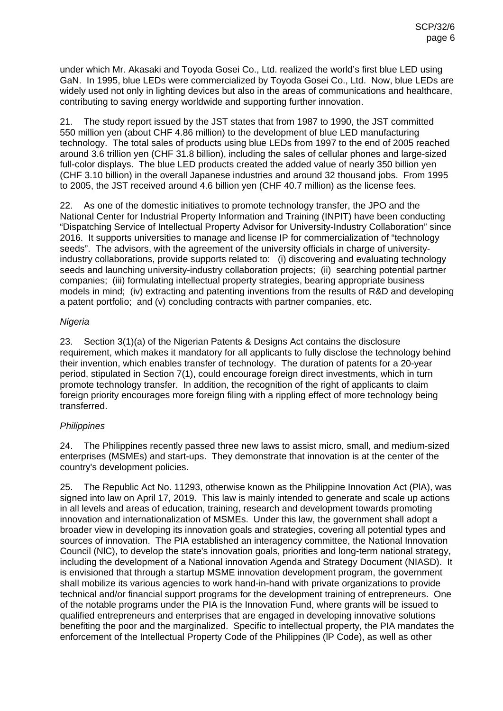under which Mr. Akasaki and Toyoda Gosei Co., Ltd. realized the world's first blue LED using GaN. In 1995, blue LEDs were commercialized by Toyoda Gosei Co., Ltd. Now, blue LEDs are widely used not only in lighting devices but also in the areas of communications and healthcare, contributing to saving energy worldwide and supporting further innovation.

21. The study report issued by the JST states that from 1987 to 1990, the JST committed 550 million yen (about CHF 4.86 million) to the development of blue LED manufacturing technology. The total sales of products using blue LEDs from 1997 to the end of 2005 reached around 3.6 trillion yen (CHF 31.8 billion), including the sales of cellular phones and large-sized full-color displays. The blue LED products created the added value of nearly 350 billion yen (CHF 3.10 billion) in the overall Japanese industries and around 32 thousand jobs. From 1995 to 2005, the JST received around 4.6 billion yen (CHF 40.7 million) as the license fees.

22. As one of the domestic initiatives to promote technology transfer, the JPO and the National Center for Industrial Property Information and Training (INPIT) have been conducting "Dispatching Service of Intellectual Property Advisor for University-Industry Collaboration" since 2016. It supports universities to manage and license IP for commercialization of "technology seeds". The advisors, with the agreement of the university officials in charge of universityindustry collaborations, provide supports related to: (i) discovering and evaluating technology seeds and launching university-industry collaboration projects; (ii) searching potential partner companies; (iii) formulating intellectual property strategies, bearing appropriate business models in mind; (iv) extracting and patenting inventions from the results of R&D and developing a patent portfolio; and (v) concluding contracts with partner companies, etc.

## *Nigeria*

23. Section 3(1)(a) of the Nigerian Patents & Designs Act contains the disclosure requirement, which makes it mandatory for all applicants to fully disclose the technology behind their invention, which enables transfer of technology. The duration of patents for a 20-year period, stipulated in Section 7(1), could encourage foreign direct investments, which in turn promote technology transfer. In addition, the recognition of the right of applicants to claim foreign priority encourages more foreign filing with a rippling effect of more technology being transferred.

# *Philippines*

24. The Philippines recently passed three new laws to assist micro, small, and medium-sized enterprises (MSMEs) and start-ups. They demonstrate that innovation is at the center of the country's development policies.

25. The Republic Act No. 11293, otherwise known as the Philippine Innovation Act (PlA), was signed into law on April 17, 2019. This law is mainly intended to generate and scale up actions in all levels and areas of education, training, research and development towards promoting innovation and internationalization of MSMEs. Under this law, the government shall adopt a broader view in developing its innovation goals and strategies, covering all potential types and sources of innovation. The PIA established an interagency committee, the National Innovation Council (NlC), to develop the state's innovation goals, priorities and long-term national strategy, including the development of a National innovation Agenda and Strategy Document (NIASD). It is envisioned that through a startup MSME innovation development program, the government shall mobilize its various agencies to work hand-in-hand with private organizations to provide technical and/or financial support programs for the development training of entrepreneurs. One of the notable programs under the PIA is the Innovation Fund, where grants will be issued to qualified entrepreneurs and enterprises that are engaged in developing innovative solutions benefiting the poor and the marginalized. Specific to intellectual property, the PIA mandates the enforcement of the Intellectual Property Code of the Philippines (lP Code), as well as other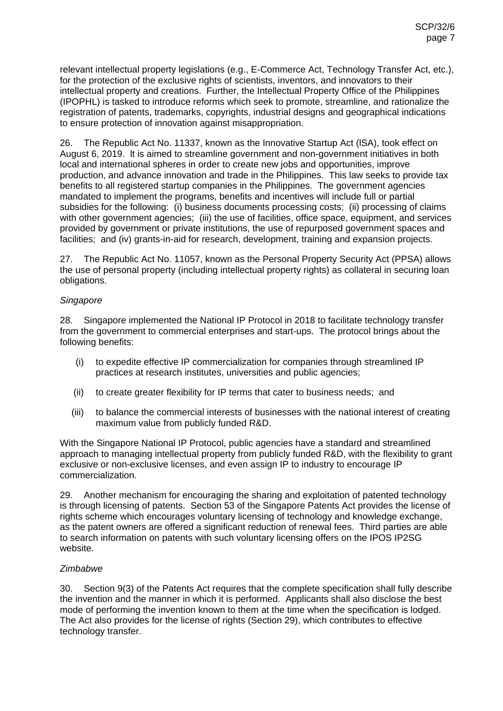relevant intellectual property legislations (e.g., E-Commerce Act, Technology Transfer Act, etc.), for the protection of the exclusive rights of scientists, inventors, and innovators to their intellectual property and creations. Further, the Intellectual Property Office of the Philippines (IPOPHL) is tasked to introduce reforms which seek to promote, streamline, and rationalize the registration of patents, trademarks, copyrights, industrial designs and geographical indications to ensure protection of innovation against misappropriation.

26. The Republic Act No. 11337, known as the Innovative Startup Act (lSA), took effect on August 6, 2019. lt is aimed to streamline government and non-government initiatives in both local and international spheres in order to create new jobs and opportunities, improve production, and advance innovation and trade in the Philippines. This law seeks to provide tax benefits to all registered startup companies in the Philippines. The government agencies mandated to implement the programs, benefits and incentives will include full or partial subsidies for the following: (i) business documents processing costs; (ii) processing of claims with other government agencies; (iii) the use of facilities, office space, equipment, and services provided by government or private institutions, the use of repurposed government spaces and facilities; and (iv) grants-in-aid for research, development, training and expansion projects.

27. The Republic Act No. 11057, known as the Personal Property Security Act (PPSA) allows the use of personal property (including intellectual property rights) as collateral in securing loan obligations.

#### *Singapore*

28. Singapore implemented the National IP Protocol in 2018 to facilitate technology transfer from the government to commercial enterprises and start-ups. The protocol brings about the following benefits:

- (i) to expedite effective IP commercialization for companies through streamlined IP practices at research institutes, universities and public agencies;
- (ii) to create greater flexibility for IP terms that cater to business needs; and
- (iii) to balance the commercial interests of businesses with the national interest of creating maximum value from publicly funded R&D.

With the Singapore National IP Protocol, public agencies have a standard and streamlined approach to managing intellectual property from publicly funded R&D, with the flexibility to grant exclusive or non-exclusive licenses, and even assign IP to industry to encourage IP commercialization.

29. Another mechanism for encouraging the sharing and exploitation of patented technology is through licensing of patents. Section 53 of the Singapore Patents Act provides the license of rights scheme which encourages voluntary licensing of technology and knowledge exchange, as the patent owners are offered a significant reduction of renewal fees. Third parties are able to search information on patents with such voluntary licensing offers on the IPOS IP2SG website.

# *Zimbabwe*

30. Section 9(3) of the Patents Act requires that the complete specification shall fully describe the invention and the manner in which it is performed. Applicants shall also disclose the best mode of performing the invention known to them at the time when the specification is lodged. The Act also provides for the license of rights (Section 29), which contributes to effective technology transfer.